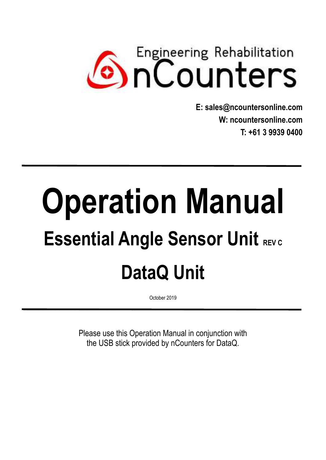# **Counters**

**E: sales@ncountersonline.com W: [ncountersonline.com](http://www.ncountersonline.com/)  T: +61 3 9939 0400** 

# **Operation Manual Essential Angle Sensor Unit REV C DataQ Unit**

**\_\_\_\_\_\_\_\_\_\_\_\_\_\_\_\_\_\_\_\_\_\_\_\_\_\_\_\_\_\_\_\_\_\_\_\_\_\_\_\_\_\_\_\_\_\_\_\_\_\_\_\_\_\_\_\_\_\_\_\_\_\_\_\_\_\_\_\_\_**

October 2019 **\_\_\_\_\_\_\_\_\_\_\_\_\_\_\_\_\_\_\_\_\_\_\_\_\_\_\_\_\_\_\_\_\_\_\_\_\_\_\_\_\_\_\_\_\_\_\_\_\_\_\_\_\_\_\_\_\_\_\_\_\_\_\_\_\_\_\_\_\_**

> Please use this Operation Manual in conjunction with the USB stick provided by nCounters for DataQ.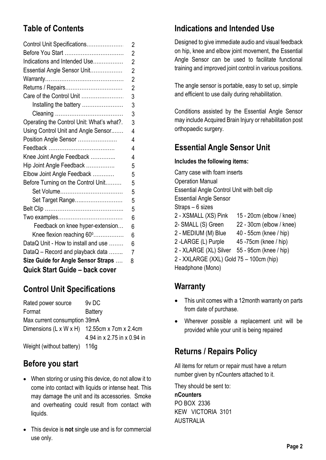# **Table of Contents**

|                                           | 5              |
|-------------------------------------------|----------------|
| Before Turning on the Control Unit        | 5              |
| Elbow Joint Angle Feedback                | 5              |
| Hip Joint Angle Feedback                  | 5              |
| Knee Joint Angle Feedback                 | 4              |
|                                           | 4              |
| Position Angle Sensor                     | 4              |
| Using Control Unit and Angle Sensor       | 4              |
| Operating the Control Unit: What's what?. | 3              |
|                                           | 3              |
| Installing the battery                    | 3              |
| Care of the Control Unit                  | 3              |
| Returns / Repairs                         | $\overline{2}$ |
|                                           | $\overline{2}$ |
| Essential Angle Sensor Unit               | $\overline{2}$ |
|                                           | $\overline{2}$ |
| Indications and Intended Use              |                |
| Before You Start                          | $\overline{2}$ |
| Control Unit Specifications               | 2              |

# **Control Unit Specifications**

Rated power source 9v DC Format Battery Max current consumption 39mA Dimensions (L x W x H) 12.55cm x 7cm x 2.4cm 4.94 in x 2.75 in x 0.94 in Weight (without battery) 116g

#### **Before you start**

- When storing or using this device, do not allow it to come into contact with liquids or intense heat. This may damage the unit and its accessories. Smoke and overheating could result from contact with liquids.
- This device is **not** single use and is for commercial use only.

# **Indications and Intended Use**

Designed to give immediate audio and visual feedback on hip, knee and elbow joint movement, the Essential Angle Sensor can be used to facilitate functional training and improved joint control in various positions.

The angle sensor is portable, easy to set up, simple and efficient to use daily during rehabilitation.

Conditions assisted by the Essential Angle Sensor may include Acquired Brain Injury or rehabilitation post orthopaedic surgery.

# **Essential Angle Sensor Unit**

#### **Includes the following items:**

Carry case with foam inserts Operation Manual Essential Angle Control Unit with belt clip Essential Angle Sensor Straps – 6 sizes 2 - XSMALL (XS) Pink 15 - 20cm (elbow / knee) 2- SMALL (S) Green 22 - 30cm (elbow / knee) 2 - MEDIUM (M) Blue 40 - 55cm (knee / hip) 2 -LARGE (L) Purple 45 -75cm (knee / hip) 2 - XLARGE (XL) Silver 55 - 95cm (knee / hip) 2 - XXLARGE (XXL) Gold 75 – 100cm (hip)

Headphone (Mono)

# **Warranty**

- This unit comes with a 12month warranty on parts from date of purchase.
- Wherever possible a replacement unit will be provided while your unit is being repaired

# **Returns / Repairs Policy**

All items for return or repair must have a return number given by nCounters attached to it.

They should be sent to: **nCounters**  PO BOX 2336 KEW VICTORIA 3101 AUSTRALIA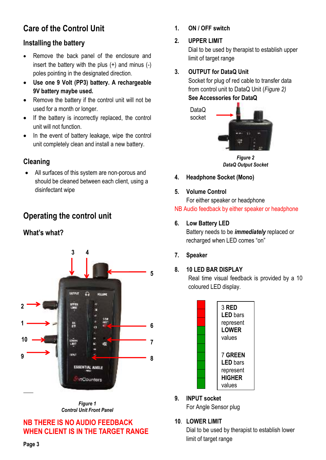# **Care of the Control Unit**

#### **Installing the battery**

- Remove the back panel of the enclosure and insert the battery with the plus (+) and minus (-) poles pointing in the designated direction.
- **Use one 9 Volt (PP3) battery. A rechargeable 9V battery maybe used.**
- Remove the battery if the control unit will not be used for a month or longer.
- If the battery is incorrectly replaced, the control unit will not function.
- In the event of battery leakage, wipe the control unit completely clean and install a new battery.

#### **Cleaning**

All surfaces of this system are non-porous and should be cleaned between each client, using a disinfectant wipe

# **Operating the control unit**

#### **What's what?**



*Figure 1 Control Unit Front Panel* 

#### **NB THERE IS NO AUDIO FEEDBACK WHEN CLIENT IS IN THE TARGET RANGE**

**1. ON / OFF switch** 

#### **2. UPPER LIMIT**

Dial to be used by therapist to establish upper limit of target range

#### **3. OUTPUT for DataQ Unit**

Socket for plug of red cable to transfer data from control unit to DataQ Unit (*Figure 2)*  **See Accessories for DataQ**



*Figure 2 DataQ Output Socket* 

- **4. Headphone Socket (Mono)**
- **5. Volume Control**

For either speaker or headphone

### NB Audio feedback by either speaker or headphone

#### **6. Low Battery LED**

Battery needs to be *immediately* replaced or recharged when LED comes "on"

**7. Speaker** 

#### **8. 10 LED BAR DISPLAY**

Real time visual feedback is provided by a 10 coloured LED display.



**9. INPUT socket**  For Angle Sensor plug

#### **10**. **LOWER LIMIT**

Dial to be used by therapist to establish lower limit of target range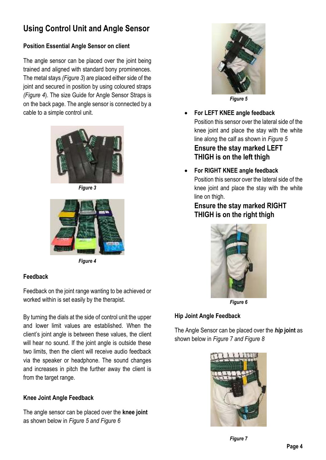# **Using Control Unit and Angle Sensor**

#### **Position Essential Angle Sensor on client**

The angle sensor can be placed over the joint being trained and aligned with standard bony prominences. The metal stays *(Figure 3*) are placed either side of the joint and secured in position by using coloured straps *(Figure 4*). The size Guide for Angle Sensor Straps is on the back page. The angle sensor is connected by a cable to a simple control unit.



*Figure 3* 



*Figure 4* 

#### **Feedback**

Feedback on the joint range wanting to be achieved or worked within is set easily by the therapist.

By turning the dials at the side of control unit the upper and lower limit values are established. When the client's joint angle is between these values, the client will hear no sound. If the joint angle is outside these two limits, then the client will receive audio feedback via the speaker or headphone. The sound changes and increases in pitch the further away the client is from the target range.

#### **Knee Joint Angle Feedback**

The angle sensor can be placed over the **knee joint**  as shown below in *Figure 5 and Figure 6* 



- **For LEFT KNEE angle feedback**  Position this sensor over the lateral side of the knee joint and place the stay with the white line along the calf as shown in *Figure 5* **Ensure the stay marked LEFT THIGH is on the left thigh**
- **For RIGHT KNEE angle feedback**  Position this sensor over the lateral side of the knee joint and place the stay with the white line on thigh.

#### **Ensure the stay marked RIGHT THIGH is on the right thigh**



*Figure 6*

#### **Hip Joint Angle Feedback**

The Angle Sensor can be placed over the *hip* **joint** as shown below in *Figure 7 and Figure 8* 

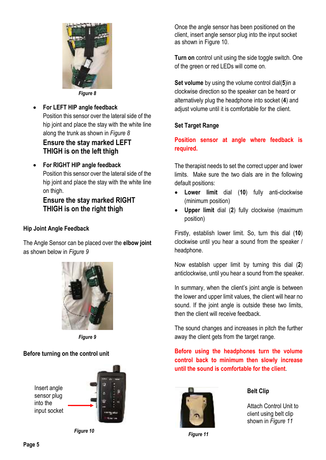

- **For LEFT HIP angle feedback**  Position this sensor over the lateral side of the hip joint and place the stay with the white line along the trunk as shown in *Figure 8* **Ensure the stay marked LEFT THIGH is on the left thigh**
- **For RIGHT HIP angle feedback**  Position this sensor over the lateral side of the hip joint and place the stay with the white line on thigh.

#### **Ensure the stay marked RIGHT THIGH is on the right thigh**

#### **Hip Joint Angle Feedback**

The Angle Sensor can be placed over the **elbow joint**  as shown below in *Figure 9* 



*Figure 9* 

#### **Before turning on the control unit**



*Figure 10*

Once the angle sensor has been positioned on the client, insert angle sensor plug into the input socket as shown in Figure 10.

**Turn on** control unit using the side toggle switch. One of the green or red LEDs will come on.

**Set volume** by using the volume control dial(**5**)in a clockwise direction so the speaker can be heard or alternatively plug the headphone into socket (**4**) and adjust volume until it is comfortable for the client.

#### **Set Target Range**

**Position sensor at angle where feedback is required.** 

The therapist needs to set the correct upper and lower limits. Make sure the two dials are in the following default positions:

- **Lower limit** dial (**10**) fully anti-clockwise (minimum position)
- **Upper limit** dial (**2**) fully clockwise (maximum position)

Firstly, establish lower limit. So, turn this dial (**10**) clockwise until you hear a sound from the speaker / headphone.

Now establish upper limit by turning this dial (**2**) anticlockwise, until you hear a sound from the speaker.

In summary, when the client's joint angle is between the lower and upper limit values, the client will hear no sound. If the joint angle is outside these two limits, then the client will receive feedback.

The sound changes and increases in pitch the further away the client gets from the target range.

**Before using the headphones turn the volume control back to minimum then slowly increase until the sound is comfortable for the client**.



 *Figure 11*

#### **Belt Clip**

Attach Control Unit to client using belt clip shown in *Figure 11*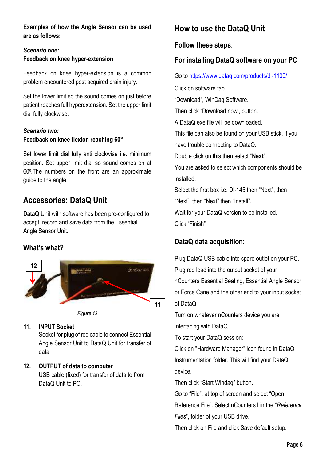**Examples of how the Angle Sensor can be used are as follows:**

#### *Scenario one:*  **Feedback on knee hyper-extension**

Feedback on knee hyper-extension is a common problem encountered post acquired brain injury.

Set the lower limit so the sound comes on just before patient reaches full hyperextension. Set the upper limit dial fully clockwise.

#### *Scenario two:*  **Feedback on knee flexion reaching 60°**

Set lower limit dial fully anti clockwise i.e. minimum position. Set upper limit dial so sound comes on at 60<sup>0</sup> .The numbers on the front are an approximate guide to the angle.

# **Accessories: DataQ Unit**

**DataQ** Unit with software has been pre-configured to accept, record and save data from the Essential Angle Sensor Unit.

#### **What's what?**



*Figure 12*

#### **11. INPUT Socket**

Socket for plug of red cable to connect Essential Angle Sensor Unit to DataQ Unit for transfer of data

#### **12. OUTPUT of data to computer**

USB cable (fixed) for transfer of data to from DataQ Unit to PC.

# **How to use the DataQ Unit**

#### **Follow these steps**:

#### **For installing DataQ software on your PC**

Go to<https://www.dataq.com/products/di-1100/>

Click on software tab.

"Download", WinDaq Software.

Then click "Download now', button.

A DataQ exe file will be downloaded.

This file can also be found on your USB stick, if you have trouble connecting to DataQ.

Double click on this then select "**Next**".

You are asked to select which components should be installed.

Select the first box i.e. DI-145 then "Next", then "Next", then "Next" then "Install".

Wait for your DataQ version to be installed.

Click "Finish"

#### **DataQ data acquisition:**

Plug DataQ USB cable into spare outlet on your PC. Plug red lead into the output socket of your nCounters Essential Seating, Essential Angle Sensor or Force Cane and the other end to your input socket of DataQ.

Turn on whatever nCounters device you are interfacing with DataQ.

To start your DataQ session:

Click on "Hardware Manager" icon found in DataQ Instrumentation folder. This will find your DataQ device.

Then click "Start Windaq" button.

Go to "File", at top of screen and select "Open

Reference File". Select nCounters1 in the "*Reference* 

*Files*", folder of your USB drive.

Then click on File and click Save default setup.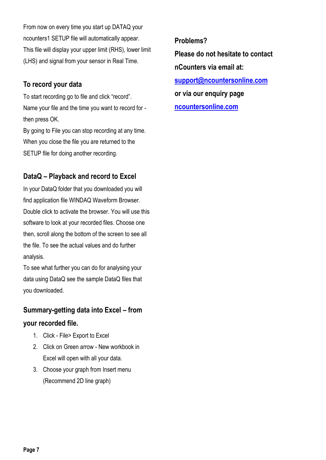From now on every time you start up DATAQ your ncounters1 SETUP file will automatically appear. This file will display your upper limit (RHS), lower limit (LHS) and signal from your sensor in Real Time.

#### **To record your data**

To start recording go to file and click "record". Name your file and the time you want to record for then press OK.

By going to File you can stop recording at any time. When you close the file you are returned to the SETUP file for doing another recording.

#### **DataQ – Playback and record to Excel**

In your DataQ folder that you downloaded you will find application file WINDAQ Waveform Browser. Double click to activate the browser. You will use this software to look at your recorded files. Choose one then, scroll along the bottom of the screen to see all the file. To see the actual values and do further analysis.

To see what further you can do for analysing your data using DataQ see the sample DataQ files that you downloaded.

# **Summary-getting data into Excel – from your recorded file.**

- 1. Click File> Export to Excel
- 2. Click on Green arrow New workbook in Excel will open with all your data.
- 3. Choose your graph from Insert menu (Recommend 2D line graph)

#### **Problems?**

**Please do not hesitate to contact** 

**nCounters via email at:** 

**[support@ncountersonline.com](mailto:support@ncountersonline.com)** 

**or via our enquiry page** 

**[ncountersonline.com](file:///D:/A%20BIOFEEDBACK%20DEVICES%20PTY%20LTD/Marketing%20Website%20Manual/Manual%20CURRENT/Manuals%20for%20printing/ncountersonline.com)**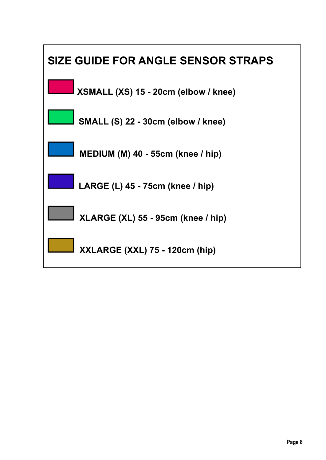